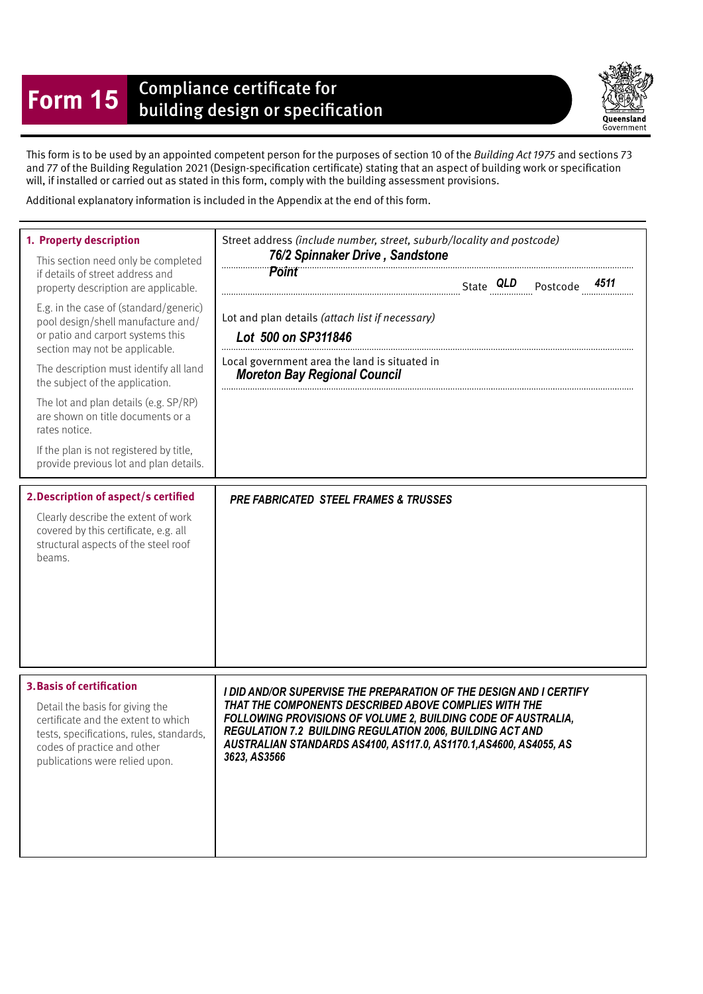## **Form 15** Compliance certificate for<br>building design or specification

Queensland Government

This form is to be used by an appointed competent person for the purposes of section 10 of the Building Act 1975 and sections 73 and 77 of the Building Regulation 2021 (Design-specifcation certifcate) stating that an aspect of building work or specifcation will, if installed or carried out as stated in this form, comply with the building assessment provisions.

Additional explanatory information is included in the Appendix at the end of this form.

| 1. Property description<br>This section need only be completed<br>if details of street address and<br>property description are applicable.<br>E.g. in the case of (standard/generic)<br>pool design/shell manufacture and/<br>or patio and carport systems this<br>section may not be applicable.<br>The description must identify all land<br>the subject of the application.<br>The lot and plan details (e.g. SP/RP)<br>are shown on title documents or a<br>rates notice.<br>If the plan is not registered by title,<br>provide previous lot and plan details.<br>2. Description of aspect/s certified<br>Clearly describe the extent of work | Street address (include number, street, suburb/locality and postcode)<br>76/2 Spinnaker Drive, Sandstone<br><b>Point</b><br>4511<br>Lot and plan details (attach list if necessary)<br>Lot 500 on SP311846<br>Local government area the land is situated in<br><b>Moreton Bay Regional Council</b><br><b>PRE FABRICATED STEEL FRAMES &amp; TRUSSES</b> |
|---------------------------------------------------------------------------------------------------------------------------------------------------------------------------------------------------------------------------------------------------------------------------------------------------------------------------------------------------------------------------------------------------------------------------------------------------------------------------------------------------------------------------------------------------------------------------------------------------------------------------------------------------|--------------------------------------------------------------------------------------------------------------------------------------------------------------------------------------------------------------------------------------------------------------------------------------------------------------------------------------------------------|
| covered by this certificate, e.g. all<br>structural aspects of the steel roof<br>beams.                                                                                                                                                                                                                                                                                                                                                                                                                                                                                                                                                           |                                                                                                                                                                                                                                                                                                                                                        |
| <b>3. Basis of certification</b>                                                                                                                                                                                                                                                                                                                                                                                                                                                                                                                                                                                                                  | I DID AND/OR SUPERVISE THE PREPARATION OF THE DESIGN AND I CERTIFY                                                                                                                                                                                                                                                                                     |
| Detail the basis for giving the                                                                                                                                                                                                                                                                                                                                                                                                                                                                                                                                                                                                                   | THAT THE COMPONENTS DESCRIBED ABOVE COMPLIES WITH THE                                                                                                                                                                                                                                                                                                  |
| certificate and the extent to which                                                                                                                                                                                                                                                                                                                                                                                                                                                                                                                                                                                                               | FOLLOWING PROVISIONS OF VOLUME 2, BUILDING CODE OF AUSTRALIA,                                                                                                                                                                                                                                                                                          |
| tests, specifications, rules, standards,                                                                                                                                                                                                                                                                                                                                                                                                                                                                                                                                                                                                          | <b>REGULATION 7.2 BUILDING REGULATION 2006, BUILDING ACT AND</b>                                                                                                                                                                                                                                                                                       |
| codes of practice and other                                                                                                                                                                                                                                                                                                                                                                                                                                                                                                                                                                                                                       | AUSTRALIAN STANDARDS AS4100, AS117.0, AS1170.1, AS4600, AS4055, AS                                                                                                                                                                                                                                                                                     |
| publications were relied upon.                                                                                                                                                                                                                                                                                                                                                                                                                                                                                                                                                                                                                    | 3623, AS3566                                                                                                                                                                                                                                                                                                                                           |